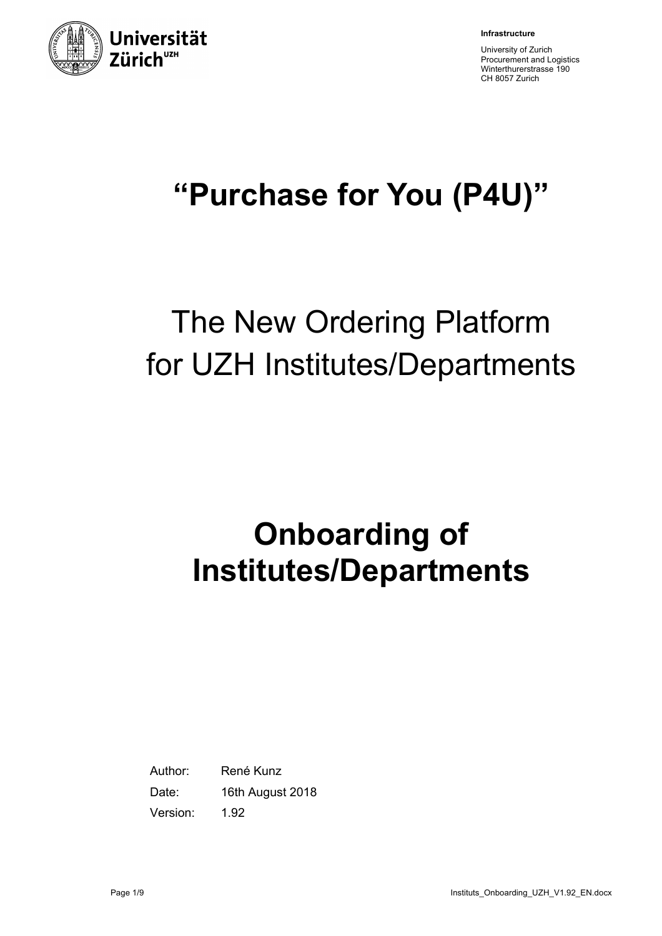

**Infrastructure**

University of Zurich Procurement and Logistics Winterthurerstrasse 190 CH 8057 Zurich

# **"Purchase for You (P4U)"**

# The New Ordering Platform for UZH Institutes/Departments

# **Onboarding of Institutes/Departments**

Author: René Kunz Date: 16th August 2018 Version: 1.92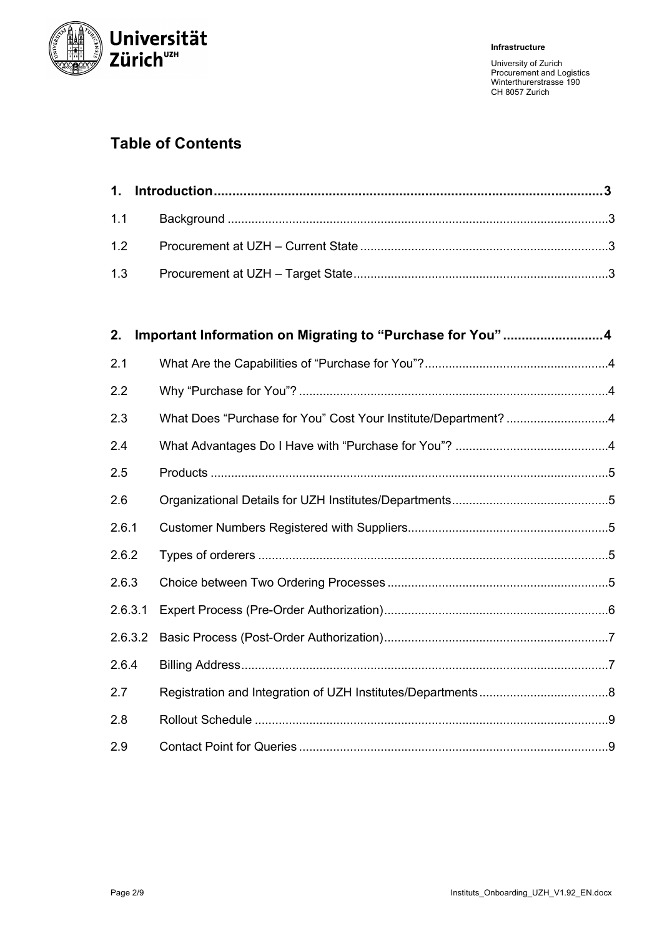

# **Table of Contents**

| 2.      | Important Information on Migrating to "Purchase for You"4      |  |
|---------|----------------------------------------------------------------|--|
| 2.1     |                                                                |  |
| 2.2     |                                                                |  |
| 2.3     | What Does "Purchase for You" Cost Your Institute/Department? 4 |  |
| 2.4     |                                                                |  |
| 2.5     |                                                                |  |
| 2.6     |                                                                |  |
| 2.6.1   |                                                                |  |
| 2.6.2   |                                                                |  |
| 2.6.3   |                                                                |  |
| 2.6.3.1 |                                                                |  |
| 2.6.3.2 |                                                                |  |
| 2.6.4   |                                                                |  |
| 2.7     |                                                                |  |
| 2.8     |                                                                |  |
| 2.9     |                                                                |  |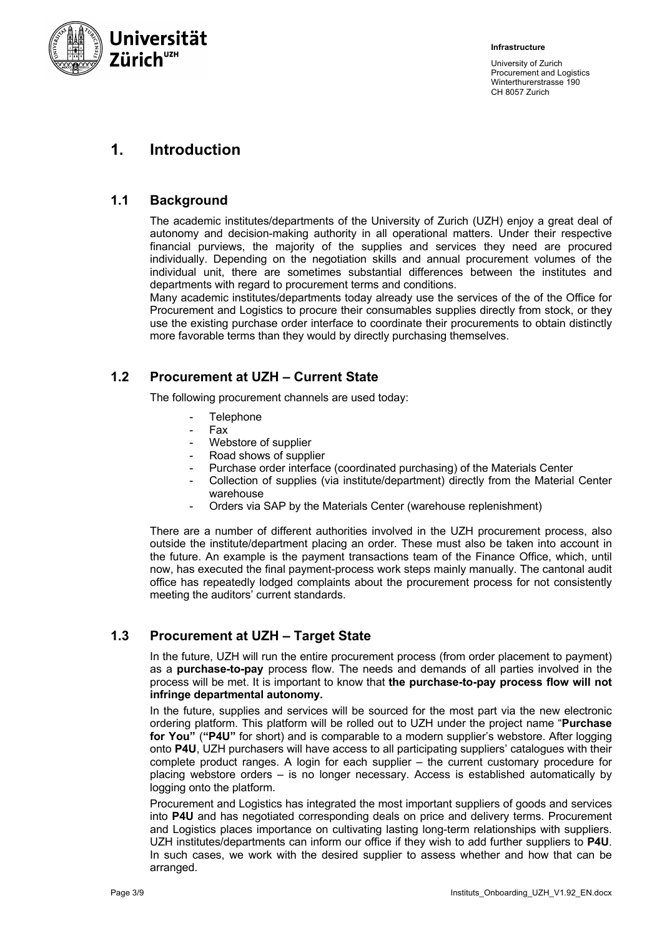

# **1. Introduction**

## **1.1 Background**

The academic institutes/departments of the University of Zurich (UZH) enjoy a great deal of autonomy and decision-making authority in all operational matters. Under their respective financial purviews, the majority of the supplies and services they need are procured individually. Depending on the negotiation skills and annual procurement volumes of the individual unit, there are sometimes substantial differences between the institutes and departments with regard to procurement terms and conditions.

Many academic institutes/departments today already use the services of the of the Office for Procurement and Logistics to procure their consumables supplies directly from stock, or they use the existing purchase order interface to coordinate their procurements to obtain distinctly more favorable terms than they would by directly purchasing themselves.

# **1.2 Procurement at UZH – Current State**

The following procurement channels are used today:

- **Telephone**
- Fax
- Webstore of supplier
- Road shows of supplier
- Purchase order interface (coordinated purchasing) of the Materials Center
- Collection of supplies (via institute/department) directly from the Material Center warehouse
- Orders via SAP by the Materials Center (warehouse replenishment)

There are a number of different authorities involved in the UZH procurement process, also outside the institute/department placing an order. These must also be taken into account in the future. An example is the payment transactions team of the Finance Office, which, until now, has executed the final payment-process work steps mainly manually. The cantonal audit office has repeatedly lodged complaints about the procurement process for not consistently meeting the auditors' current standards.

### **1.3 Procurement at UZH – Target State**

In the future, UZH will run the entire procurement process (from order placement to payment) as a **purchase-to-pay** process flow. The needs and demands of all parties involved in the process will be met. It is important to know that **the purchase-to-pay process flow will not infringe departmental autonomy.**

In the future, supplies and services will be sourced for the most part via the new electronic ordering platform. This platform will be rolled out to UZH under the project name "**Purchase for You"** (**"P4U"** for short) and is comparable to a modern supplier's webstore. After logging onto **P4U**, UZH purchasers will have access to all participating suppliers' catalogues with their complete product ranges. A login for each supplier – the current customary procedure for placing webstore orders – is no longer necessary. Access is established automatically by logging onto the platform.

Procurement and Logistics has integrated the most important suppliers of goods and services into **P4U** and has negotiated corresponding deals on price and delivery terms. Procurement and Logistics places importance on cultivating lasting long-term relationships with suppliers. UZH institutes/departments can inform our office if they wish to add further suppliers to **P4U**. In such cases, we work with the desired supplier to assess whether and how that can be arranged.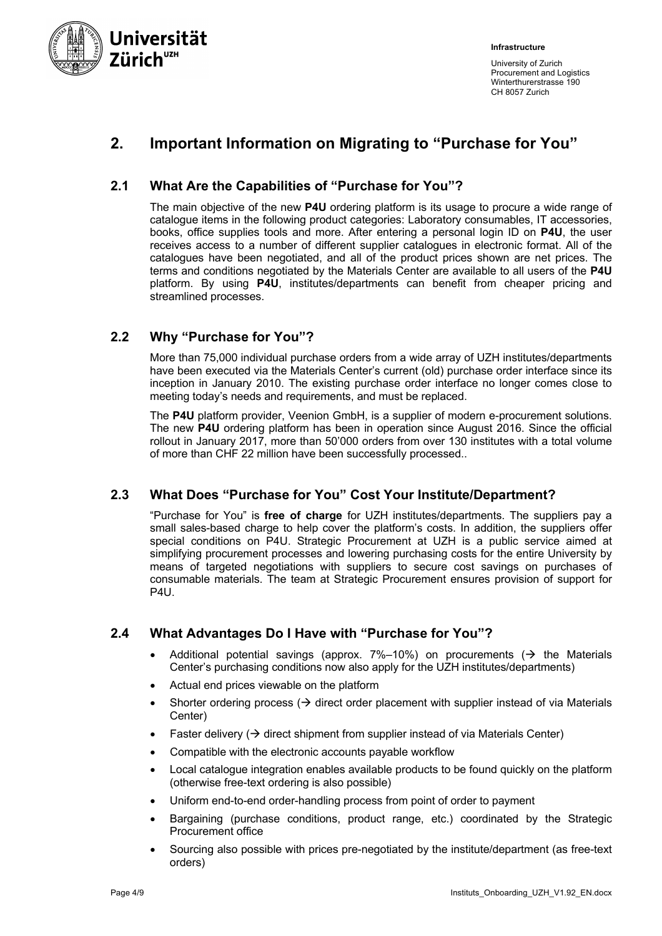

# **2. Important Information on Migrating to "Purchase for You"**

# **2.1 What Are the Capabilities of "Purchase for You"?**

The main objective of the new **P4U** ordering platform is its usage to procure a wide range of catalogue items in the following product categories: Laboratory consumables, IT accessories, books, office supplies tools and more. After entering a personal login ID on **P4U**, the user receives access to a number of different supplier catalogues in electronic format. All of the catalogues have been negotiated, and all of the product prices shown are net prices. The terms and conditions negotiated by the Materials Center are available to all users of the **P4U** platform. By using **P4U**, institutes/departments can benefit from cheaper pricing and streamlined processes.

# **2.2 Why "Purchase for You"?**

More than 75,000 individual purchase orders from a wide array of UZH institutes/departments have been executed via the Materials Center's current (old) purchase order interface since its inception in January 2010. The existing purchase order interface no longer comes close to meeting today's needs and requirements, and must be replaced.

The **P4U** platform provider, Veenion GmbH, is a supplier of modern e-procurement solutions. The new **P4U** ordering platform has been in operation since August 2016. Since the official rollout in January 2017, more than 50'000 orders from over 130 institutes with a total volume of more than CHF 22 million have been successfully processed..

# **2.3 What Does "Purchase for You" Cost Your Institute/Department?**

"Purchase for You" is **free of charge** for UZH institutes/departments. The suppliers pay a small sales-based charge to help cover the platform's costs. In addition, the suppliers offer special conditions on P4U. Strategic Procurement at UZH is a public service aimed at simplifying procurement processes and lowering purchasing costs for the entire University by means of targeted negotiations with suppliers to secure cost savings on purchases of consumable materials. The team at Strategic Procurement ensures provision of support for P4U.

# **2.4 What Advantages Do I Have with "Purchase for You"?**

- Additional potential savings (approx.  $7\%$ –10%) on procurements ( $\rightarrow$  the Materials Center's purchasing conditions now also apply for the UZH institutes/departments)
- Actual end prices viewable on the platform
- Shorter ordering process ( $\rightarrow$  direct order placement with supplier instead of via Materials Center)
- Faster delivery  $(\rightarrow$  direct shipment from supplier instead of via Materials Center)
- Compatible with the electronic accounts payable workflow
- Local catalogue integration enables available products to be found quickly on the platform (otherwise free-text ordering is also possible)
- Uniform end-to-end order-handling process from point of order to payment
- Bargaining (purchase conditions, product range, etc.) coordinated by the Strategic Procurement office
- Sourcing also possible with prices pre-negotiated by the institute/department (as free-text orders)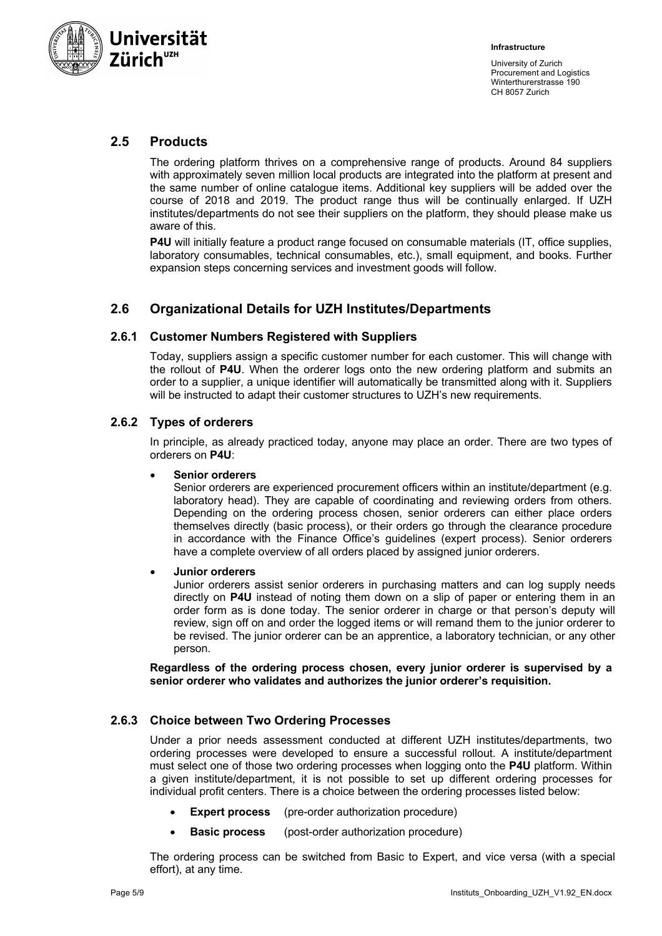

## **2.5 Products**

The ordering platform thrives on a comprehensive range of products. Around 84 suppliers with approximately seven million local products are integrated into the platform at present and the same number of online catalogue items. Additional key suppliers will be added over the course of 2018 and 2019. The product range thus will be continually enlarged. If UZH institutes/departments do not see their suppliers on the platform, they should please make us aware of this.

P4U will initially feature a product range focused on consumable materials (IT, office supplies, laboratory consumables, technical consumables, etc.), small equipment, and books. Further expansion steps concerning services and investment goods will follow.

# **2.6 Organizational Details for UZH Institutes/Departments**

#### **2.6.1 Customer Numbers Registered with Suppliers**

Today, suppliers assign a specific customer number for each customer. This will change with the rollout of **P4U**. When the orderer logs onto the new ordering platform and submits an order to a supplier, a unique identifier will automatically be transmitted along with it. Suppliers will be instructed to adapt their customer structures to UZH's new requirements.

#### **2.6.2 Types of orderers**

In principle, as already practiced today, anyone may place an order. There are two types of orderers on **P4U**:

#### • **Senior orderers**

Senior orderers are experienced procurement officers within an institute/department (e.g. laboratory head). They are capable of coordinating and reviewing orders from others. Depending on the ordering process chosen, senior orderers can either place orders themselves directly (basic process), or their orders go through the clearance procedure in accordance with the Finance Office's guidelines (expert process). Senior orderers have a complete overview of all orders placed by assigned junior orderers.

#### • **Junior orderers**

Junior orderers assist senior orderers in purchasing matters and can log supply needs directly on **P4U** instead of noting them down on a slip of paper or entering them in an order form as is done today. The senior orderer in charge or that person's deputy will review, sign off on and order the logged items or will remand them to the junior orderer to be revised. The junior orderer can be an apprentice, a laboratory technician, or any other person.

**Regardless of the ordering process chosen, every junior orderer is supervised by a senior orderer who validates and authorizes the junior orderer's requisition.**

#### **2.6.3 Choice between Two Ordering Processes**

Under a prior needs assessment conducted at different UZH institutes/departments, two ordering processes were developed to ensure a successful rollout. A institute/department must select one of those two ordering processes when logging onto the **P4U** platform. Within a given institute/department, it is not possible to set up different ordering processes for individual profit centers. There is a choice between the ordering processes listed below:

- **Expert process** (pre-order authorization procedure)
- **Basic process** (post-order authorization procedure)

The ordering process can be switched from Basic to Expert, and vice versa (with a special effort), at any time.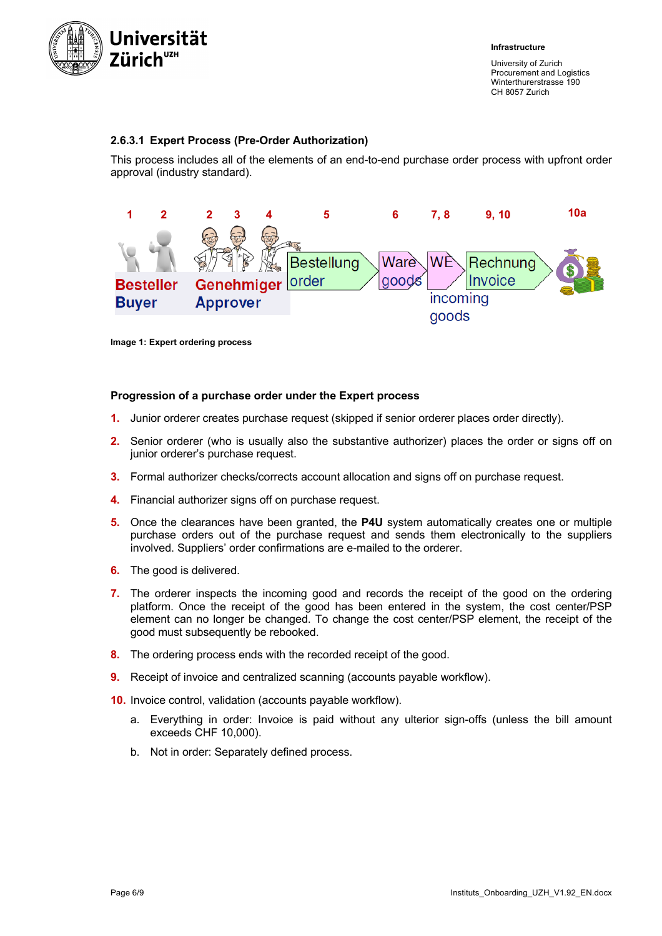

#### **2.6.3.1 Expert Process (Pre-Order Authorization)**

This process includes all of the elements of an end-to-end purchase order process with upfront order approval (industry standard).



**Image 1: Expert ordering process**

#### **Progression of a purchase order under the Expert process**

- **1.** Junior orderer creates purchase request (skipped if senior orderer places order directly).
- **2.** Senior orderer (who is usually also the substantive authorizer) places the order or signs off on junior orderer's purchase request.
- **3.** Formal authorizer checks/corrects account allocation and signs off on purchase request.
- **4.** Financial authorizer signs off on purchase request.
- **5.** Once the clearances have been granted, the **P4U** system automatically creates one or multiple purchase orders out of the purchase request and sends them electronically to the suppliers involved. Suppliers' order confirmations are e-mailed to the orderer.
- **6.** The good is delivered.
- **7.** The orderer inspects the incoming good and records the receipt of the good on the ordering platform. Once the receipt of the good has been entered in the system, the cost center/PSP element can no longer be changed. To change the cost center/PSP element, the receipt of the good must subsequently be rebooked.
- **8.** The ordering process ends with the recorded receipt of the good.
- **9.** Receipt of invoice and centralized scanning (accounts payable workflow).
- **10.** Invoice control, validation (accounts payable workflow).
	- a. Everything in order: Invoice is paid without any ulterior sign-offs (unless the bill amount exceeds CHF 10,000).
	- b. Not in order: Separately defined process.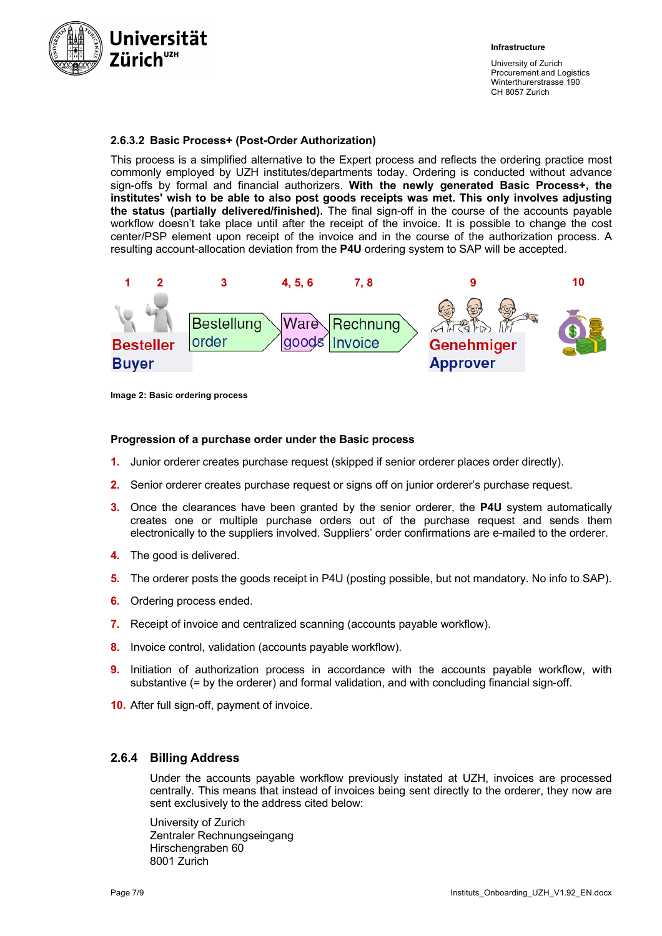

#### **2.6.3.2 Basic Process+ (Post-Order Authorization)**

This process is a simplified alternative to the Expert process and reflects the ordering practice most commonly employed by UZH institutes/departments today. Ordering is conducted without advance sign-offs by formal and financial authorizers. **With the newly generated Basic Process+, the institutes' wish to be able to also post goods receipts was met. This only involves adjusting the status (partially delivered/finished).** The final sign-off in the course of the accounts payable workflow doesn't take place until after the receipt of the invoice. It is possible to change the cost center/PSP element upon receipt of the invoice and in the course of the authorization process. A resulting account-allocation deviation from the **P4U** ordering system to SAP will be accepted.



**Image 2: Basic ordering process**

#### **Progression of a purchase order under the Basic process**

- **1.** Junior orderer creates purchase request (skipped if senior orderer places order directly).
- **2.** Senior orderer creates purchase request or signs off on junior orderer's purchase request.
- **3.** Once the clearances have been granted by the senior orderer, the **P4U** system automatically creates one or multiple purchase orders out of the purchase request and sends them electronically to the suppliers involved. Suppliers' order confirmations are e-mailed to the orderer.
- **4.** The good is delivered.
- **5.** The orderer posts the goods receipt in P4U (posting possible, but not mandatory. No info to SAP).
- **6.** Ordering process ended.
- **7.** Receipt of invoice and centralized scanning (accounts payable workflow).
- **8.** Invoice control, validation (accounts payable workflow).
- **9.** Initiation of authorization process in accordance with the accounts payable workflow, with substantive (= by the orderer) and formal validation, and with concluding financial sign-off.
- **10.** After full sign-off, payment of invoice.

#### **2.6.4 Billing Address**

Under the accounts payable workflow previously instated at UZH, invoices are processed centrally. This means that instead of invoices being sent directly to the orderer, they now are sent exclusively to the address cited below:

University of Zurich Zentraler Rechnungseingang Hirschengraben 60 8001 Zurich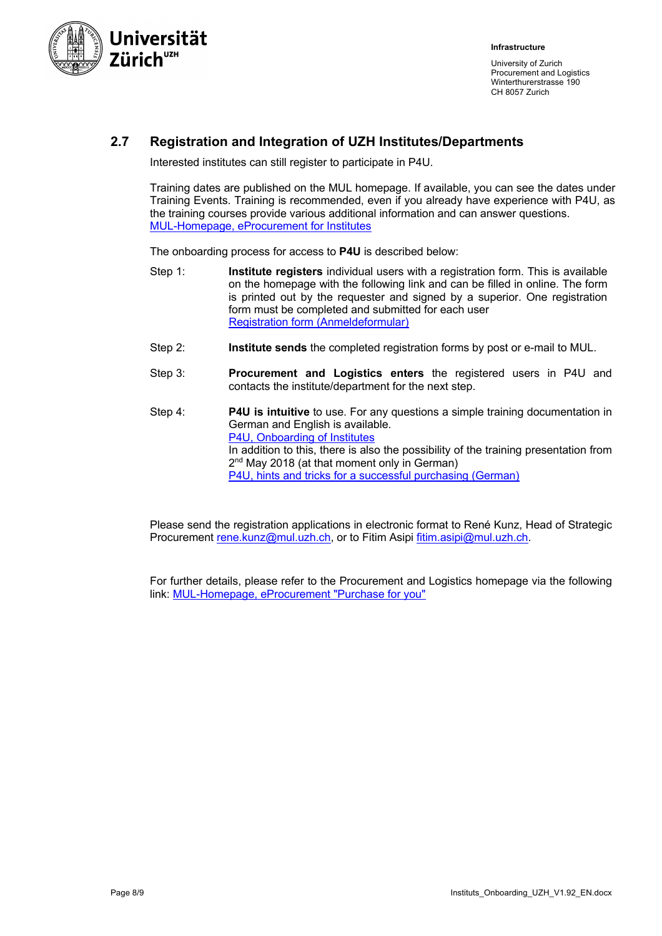

## **2.7 Registration and Integration of UZH Institutes/Departments**

Interested institutes can still register to participate in P4U.

Training dates are published on the MUL homepage. If available, you can see the dates under Training Events. Training is recommended, even if you already have experience with P4U, as the training courses provide various additional information and can answer questions. MUL-Homepage, eProcurement for Institutes

The onboarding process for access to **P4U** is described below:

- Step 1: **Institute registers** individual users with a registration form. This is available on the homepage with the following link and can be filled in online. The form is printed out by the requester and signed by a superior. One registration form must be completed and submitted for each user Registration form (Anmeldeformular)
- Step 2: **Institute sends** the completed registration forms by post or e-mail to MUL.
- Step 3: **Procurement and Logistics enters** the registered users in P4U and contacts the institute/department for the next step.
- Step 4: **P4U is intuitive** to use. For any questions a simple training documentation in German and English is available. P4U, Onboarding of Institutes In addition to this, there is also the possibility of the training presentation from 2<sup>nd</sup> May 2018 (at that moment only in German) P4U, hints and tricks for a successful purchasing (German)

Please send the registration applications in electronic format to René Kunz, Head of Strategic Procurement rene.kunz@mul.uzh.ch, or to Fitim Asipi fitim.asipi@mul.uzh.ch.

For further details, please refer to the Procurement and Logistics homepage via the following link: MUL-Homepage, eProcurement "Purchase for you"